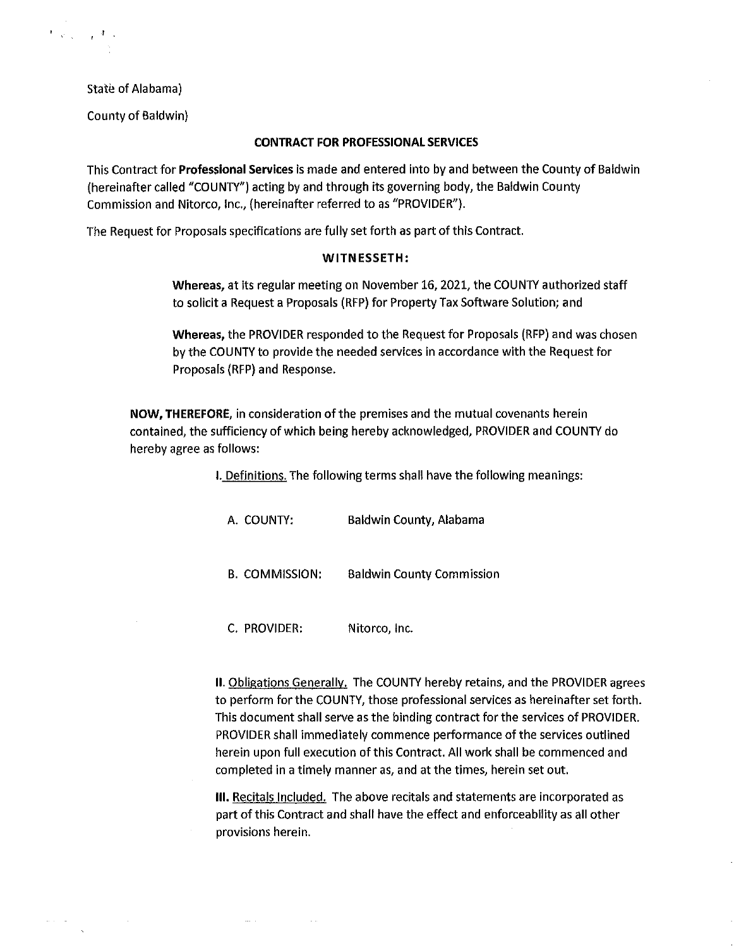State of Alabama)

 $\mathcal{F}(\mathcal{Q}_{\mathcal{A}}) = \mathcal{E}(\mathcal{A})$  .

County of Baldwin)

#### **CONTRACT FOR PROFESSIONAL SERVICES**

This Contract for **Professional Services** is made and entered into by and between the County of Baldwin (hereinafter called "COUNTY") acting by and through its governing body, the Baldwin County Commission and Nitorco, Inc., (hereinafter referred to as "PROVIDER").

The Request for Proposals specifications are fully set forth as part of this Contract.

#### **WITNESSETH:**

**Whereas,** at its regular meeting on November 16, 2021, the COUNTY authorized staff to solicit a Request a Proposals (RFP) for Property Tax Software Solution; and

**Whereas,** the PROVIDER responded to the Request for Proposals (RFP) and was chosen by the COUNTY to provide the needed services in accordance with the Request for Proposals (RFP) and Response.

**NOW, THEREFORE,** in consideration of the premises and the mutual covenants herein contained, the sufficiency of which being hereby acknowledged, PROVIDER and COUNTY do hereby agree as follows:

I. Definitions. The following terms shall have the following meanings:

A. COUNTY: Baldwin County, Alabama B. COMMISSION: Baldwin County Commission

C. PROVIDER: Nitorco, Inc.

**II.** Obligations Generally. The COUNTY hereby retains, and the PROVIDER agrees to perform for the COUNTY, those professional services as hereinafter set forth. This document shall serve as the binding contract for the services of PROVIDER. PROVIDER shall immediately commence performance of the services outlined herein upon full execution of this Contract. All work shall be commenced and completed in a timely manner as, and at the times, herein set out.

**Ill.** Recitals Included. The above recitals and statements are incorporated as part of this Contract and shall have the effect and enforceability as all other provisions herein.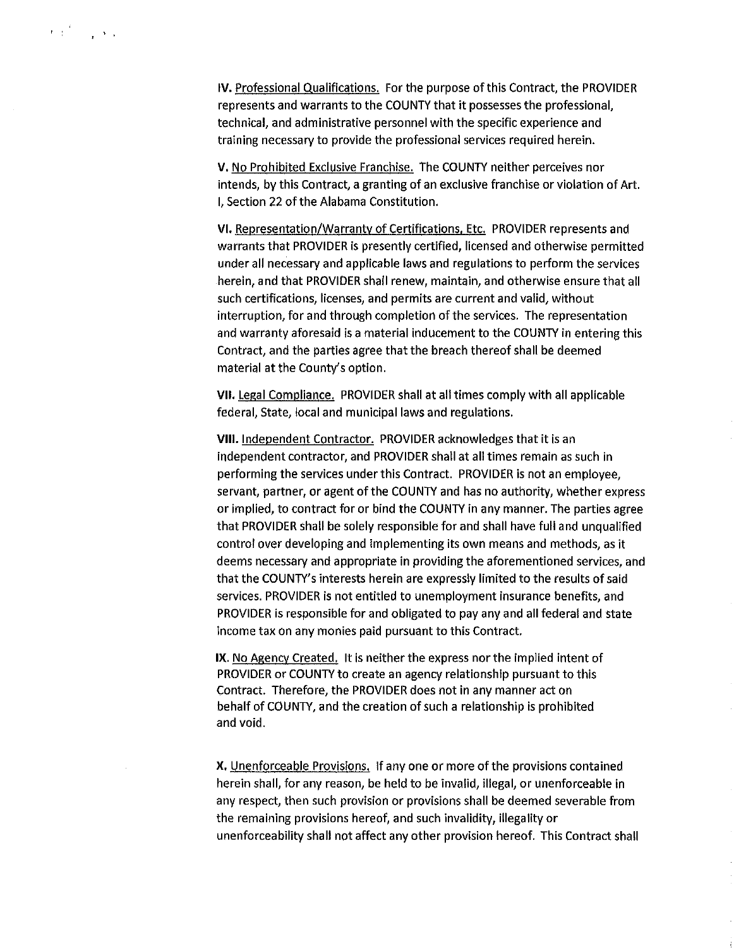$\mathbf{r}$  ,  $\mathbf{r}^{(l)}$  ,  $\mathbf{r}$  ,  $\mathbf{r}$  ,

V. No Prohibited Exclusive Franchise. The COUNTY neither perceives nor intends, by this Contract, a granting of an exclusive franchise or violation of Art. I, Section 22 of the Alabama Constitution.

VI. Representation/Warranty of Certifications, Etc. PROVIDER represents and warrants that PROVIDER is presently certified, licensed and otherwise permitted under all necessary and applicable laws and regulations to perform the services herein, and that PROVIDER shall renew, maintain, and otherwise ensure that all such certifications, licenses, and permits are current and valid, without interruption, for and through completion of the services. The representation and warranty aforesaid is a material inducement to the COUNTY in entering this Contract, and the parties agree that the breach thereof shall be deemed material at the County's option.

VII. Legal Compliance. PROVIDER shall at all times comply with all applicable federal, State, local and municipal laws and regulations.

VIII. Independent Contractor. PROVIDER acknowledges that it is an independent contractor, and PROVIDER shall at all times remain as such in performing the services under this Contract. PROVIDER is not an employee, servant, partner, or agent of the COUNTY and has no authority, whether express or implied, to contract for or bind the COUNTY in any manner. The parties agree that PROVIDER shall be solely responsible for and shall have full and unqualified control over developing and implementing its own means and methods, as it deems necessary and appropriate in providing the aforementioned services, and that the COUNTY's interests herein are expressly limited to the results of said services. PROVIDER is not entitled to unemployment insurance benefits, and PROVIDER is responsible for and obligated to pay any and all federal and state income tax on any monies paid pursuant to this Contract.

IX. No Agency Created. It is neither the express nor the implied intent of PROVIDER or COUNTY to create an agency relationship pursuant to this Contract. Therefore, the PROVIDER does not in any manner act on behalf of COUNTY, and the creation of such a relationship is prohibited and void.

X. Unenforceable Provisions. If any one or more of the provisions contained herein shall, for any reason, be held to be invalid, illegal, or unenforceable In any respect, then such provision or provisions shall be deemed severable from the remaining provisions hereof, and such invalidity, illegality or unenforceability shall not affect any other provision hereof. This Contract shall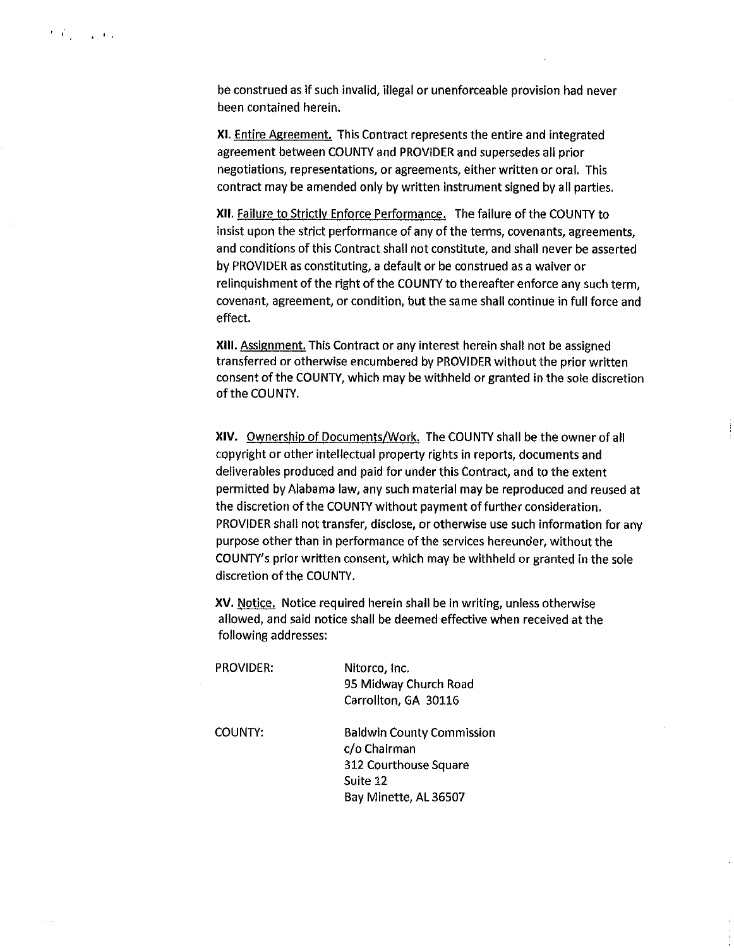be construed as if such invalid, illegal or unenforceable provision had never been contained herein.

XI. Entire Agreement. This Contract represents the entire and integrated agreement between COUNTY and PROVIDER and supersedes all prior negotiations, representations, or agreements, either written or oral. This contract may be amended only by written instrument signed by all parties.

XII. Failure to Strictly Enforce Performance. The failure of the COUNTY to insist upon the strict performance of any of the terms, covenants, agreements, and conditions of this Contract shall not constitute, and shall never be asserted by PROVIDER as constituting, a default or be construed as a waiver or relinquishment of the right of the COUNTY to thereafter enforce any such term, covenant, agreement, or condition, but the same shall continue in full force and effect.

XIII. Assignment. This Contract or any interest herein shall not be assigned transferred or otherwise encumbered by PROVIDER without the prior written consent of the COUNTY, which may be withheld or granted in the sole discretion of the COUNTY.

**XIV.** Ownership of Documents/Work. The COUNTY shall be the owner of all copyright or other intellectual property rights in reports, documents and deliverables produced and paid for under this Contract, and to the extent permitted by Alabama law, any such material may be reproduced and reused at the discretion of the COUNTY without payment of further consideration. PROVIDER shall not transfer, disclose, or otherwise use such information for any purpose other than in performance of the services hereunder, without the COUNTY's prior written consent, which may be withheld or granted in the sole discretion of the COUNTY.

XV. Notice. Notice required herein shall be in writing, unless otherwise allowed, and said notice shall be deemed effective when received at the following addresses:

| <b>PROVIDER:</b> | Nitorco, Inc.<br>95 Midway Church Road<br>Carrollton, GA 30116                                                 |
|------------------|----------------------------------------------------------------------------------------------------------------|
| COUNTY:          | <b>Baldwin County Commission</b><br>c/o Chairman<br>312 Courthouse Square<br>Suite 12<br>Bay Minette, AL 36507 |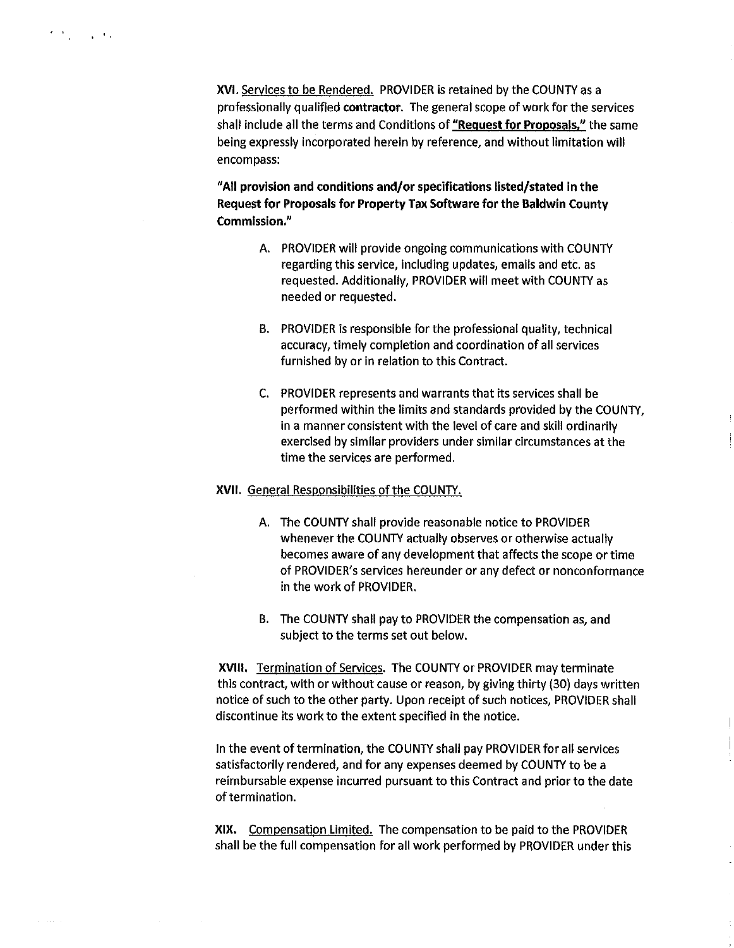$\omega = 1$  ,  $\omega = 1$  .

**XVI.** Services to be Rendered. PROVIDER is retained by the COUNTY as a professionally qualified **contractor.** The general scope of work for the services shall include all the terms and Conditions of **"Request for Proposals,"** the same being expressly incorporated herein by reference, and without limitation will encompass:

**"All provision and conditions and/or specifications listed/stated in the Request for Proposals for Property Tax Software for the Baldwin County Commission.''** 

- A. PROVIDER will provide ongoing communications with COUNTY regarding this service, including updates, emails and etc. as requested. Additionally, PROVIDER will meet with COUNTY as needed or requested.
- B. PROVIDER is responsible for the professional quality, technical accuracy, timely completion and coordination of all services furnished by or in relation to this Contract.
- C. PROVIDER represents and warrants that its services shall be performed within the limits and standards provided by the COUNTY, in a manner consistent with the level of care and skill ordinarily exercised by similar providers under similar circumstances at the time the services are performed.

### **XVII.** General Responsibilities of the COUNTY.

- A. The COUNTY shall provide reasonable notice to PROVIDER whenever the COUNTY actually observes or otherwise actually becomes aware of any development that affects the scope or time of PROVIDER's services hereunder or any defect or nonconformance in the work of PROVIDER.
- B. The COUNTY shall pay to PROVIDER the compensation as, and subject to the terms set out below.

**XVIII.** Termination of Services. The COUNTY or PROVIDER may terminate this contract, with or without cause or reason, by giving thirty (30) days written notice of such to the other party. Upon receipt of such notices, PROVIDER shall discontinue its work to the extent specified in the notice.

in the event of termination, the COUNTY shall pay PROVIDER for all services satisfactorily rendered, and for any expenses deemed by COUNTY to be a reimbursable expense incurred pursuant to this Contract and prior to the date of termination.

**XIX.** Compensation Limited. The compensation to be paid to the PROVIDER shall be the full compensation for all work performed by PROVIDER under this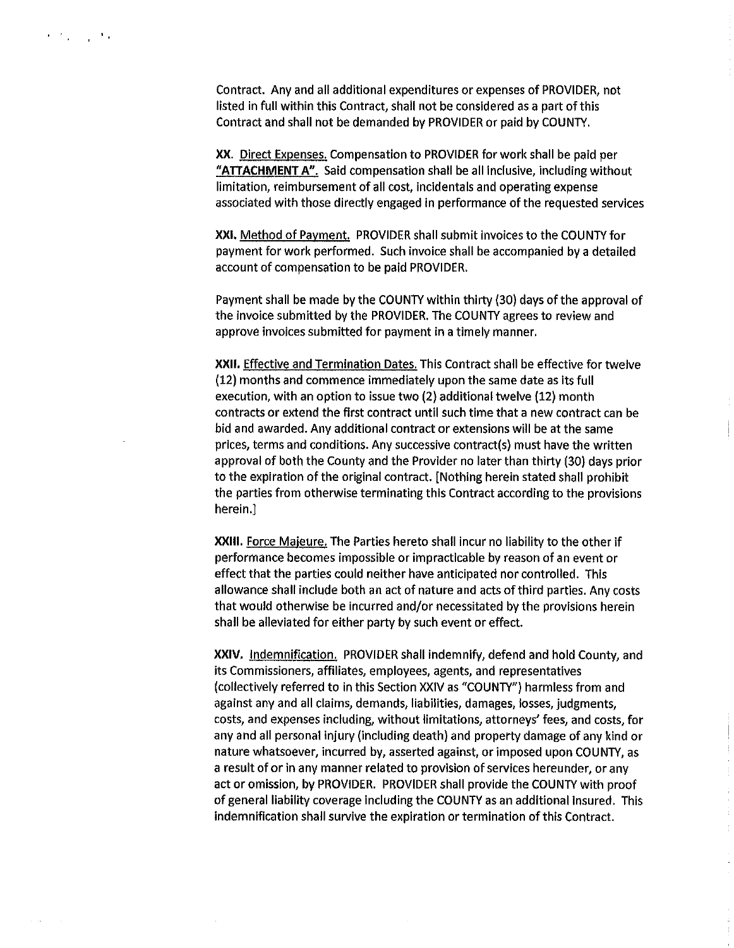Contract. Any and all additional expenditures or expenses of PROVIDER, not listed in full within this Contract, shall not be considered as a part of this Contract and shall not be demanded by PROVIDER or paid by COUNTY.

**XX.** Direct Expenses. Compensation to PROVIDER for work shall be paid per **"ATTACHMENT A".** Said compensation shall be all Inclusive, including without limitation, reimbursement of all cost, incidentals and operating expense associated with those directly engaged in performance of the requested services

**XXI.** Method of Payment. PROVIDER shall submit Invoices to the COUNTY for payment for work performed. Such invoice shall be accompanied by a detailed account of compensation to be paid PROVIDER.

Payment shall be made by the COUNTY within thirty {30) days of the approval of the Invoice submitted by the PROVIDER. The COUNTY agrees to review and approve invoices submitted for payment in a timely manner.

**XXll.** Effective and Termination Dates. This Contract shall be effective for twelve (12) months and commence immediately upon the same date as Its full execution, with an option to issue two (2) additional twelve (12) month contracts or extend the first contract until such time that a new contract can be bid and awarded. Any additional contract or extensions will be at the same prices, terms and conditions. Any successive contract(s) must have the written approval of both the County and the Provider no later than thirty (30) days prior to the expiration of the original contract. [Nothing herein stated shall prohibit the parties from otherwise terminating this Contract according to the provisions herein.]

**XXlll.** Force Majeure. The Parties hereto shall incur no liability to the other if performance becomes impossible or impracticable by reason of an event or effect that the parties could neither have anticipated nor controlled. This allowance shall include both an act of nature and acts of third parties. Any costs that would otherwise be incurred and/or necessitated by the provisions herein shall be alleviated for either party by such event or effect.

**XXIV.** Indemnification. PROVIDER shall indemnify, defend and hold County, and its Commissioners, affiliates, employees, agents, and representatives (collectively referred to in this Section XXIV as "COUNTY") harmless from and against any and all claims, demands, liabilities, damages, losses, judgments, costs, and expenses Including, without limitations, attorneys' fees, and costs, for any and all personal injury (including death) and property damage of any kind or nature whatsoever, incurred by, asserted against, or imposed upon COUNTY, as a result of or in any manner related to provision of services hereunder, or any act or omission, by PROVIDER. PROVIDER shall provide the COUNTY with proof of general liability coverage Including the COUNTY as an additional Insured. This indemnification shall survive the expiration or termination of this Contract.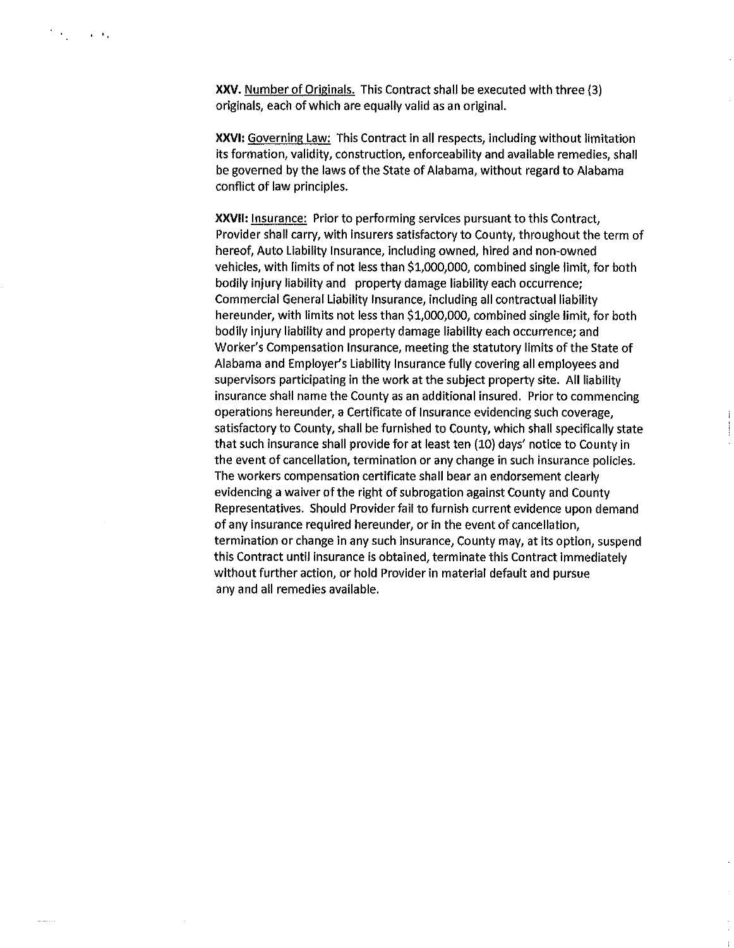**XXV.** Number of Originals. This Contract shall be executed with three (3) originals, each of which are equally valid as an original.

**XXVI:** Governing Law: This Contract in all respects, including without limitation its formation, validity, construction, enforceability and available remedies, shall be governed by the laws of the State of Alabama, without regard to Alabama conflict of law principles.

**XXVll:** Insurance: Prior to performing services pursuant to this Contract, Provider shall carry, with insurers satisfactory to County, throughout the term of hereof, Auto Liability Insurance, including owned, hired and non-owned vehicles, with limits of not less than \$1,000,000, combined single limit, for both bodily injury liability and property damage liability each occurrence; Commercial General Liability Insurance, including all contractual liability hereunder, with limits not less than \$1,000,000, combined single limit, for both bodily injury liability and property damage liability each occurrence; and Worker's Compensation Insurance, meeting the statutory limits of the State of Alabama and Employer's Liability Insurance fully covering all employees and supervisors participating in the work at the subject property site. All liability insurance shall name the County as an additional insured. Prior to commencing operations hereunder, a Certificate of Insurance evidencing such coverage, satisfactory to County, shall be furnished to County, which shall specifically state that such Insurance shall provide for at least ten (10) days' notice to County in the event of cancellation, termination or any change in such insurance policies. The workers compensation certificate shall bear an endorsement clearly evidencing a waiver of the right of subrogation against County and County Representatives. Should Provider fail to furnish current evidence upon demand of any insurance required hereunder, or in the event of cancellation, termination or change in any such insurance, County may, at its option, suspend this Contract until insurance is obtained, terminate this Contract Immediately without further action, or hold Provider in material default and pursue any and all remedies available.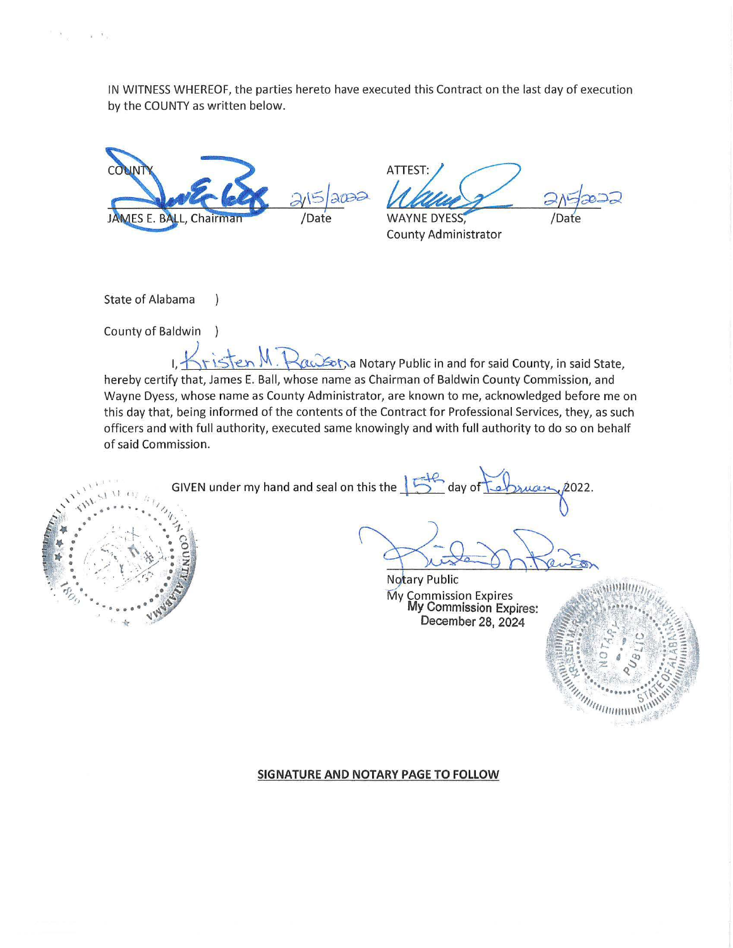IN WITNESS WHEREOF, the parties hereto have executed this Contract on the last day of execution by the COUNTY as written below.



 $\mathcal{L}$ 

 $\lambda$ 

ATTEST: **WAYNE DYESS** 

County Administrator

State of Alabama

 $\mathbf{X}_1 = \mathbf{X}_2$ 

County of Baldwin

 $H_{\rm eff}$  M .  $R$  and  $\sim$  M and  $\sim$  Motary Public in and for said County, in said State, hereby certify that, James E. Ball, whose name as Chairman of Baldwin County Commission, and Wayne Dyess, whose name as County Administrator, are known to me, acknowledged before me on this day that, being informed of the contents of the Contract for Professional Services, they, as such officers and with full authority, executed same knowingly and with full authority to do so on behalf<br>of said Commission.<br>GIVEN under my hand and seal on this the later day of Labyucer 2022. of said Commission. rator, are known to me, acknowledged before me on<br>the Contract for Professional Services, they, as such<br>snowingly and with full authority to do so on behalf<br>this the  $\sqrt{5}$  day of  $\sqrt{2}$ 



 $20 - 5$ }

My Commission Expires<br>My Commission Expires: December 28, 2024



#### **SIGNATURE AND NOTARY PAGE TO FOLLOW**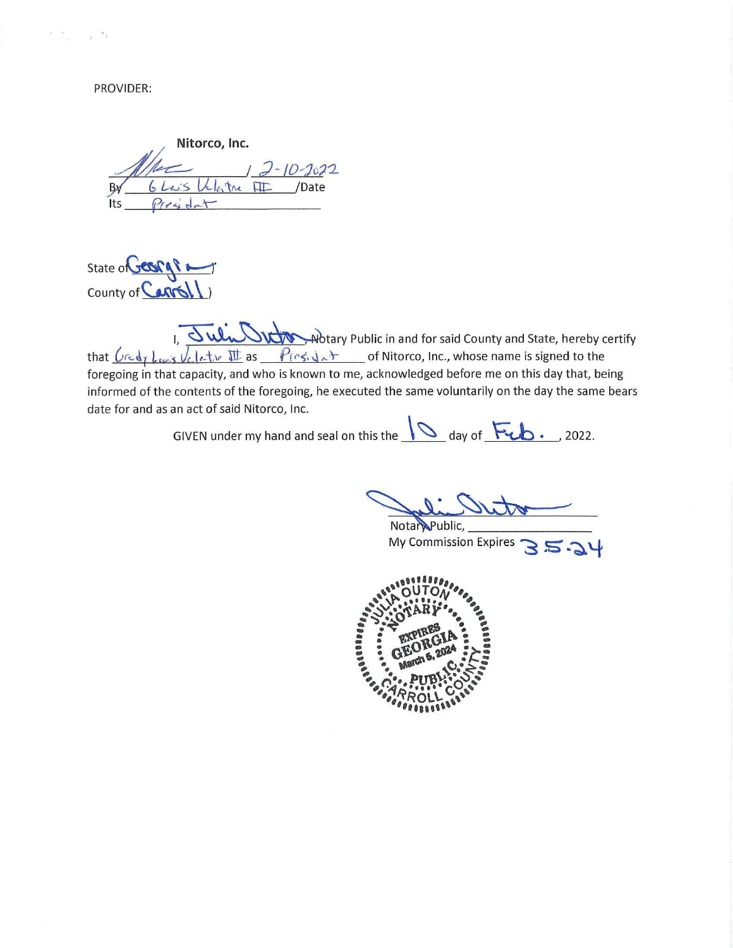PROVIDER:

 $\tilde{u} = \tilde{w}$ 

 $\tau=2\pi$ 

Nitorco, Inc.<br> **By** 6 Les Veloctore <del>III</del> pate  $Its \frac{\rho_{res} d_{nt}}{r}$ 

State of **CESPAP 2** County of  $\bigcirc$ 

I, Juli DRM whitary Public in and for said County and State, hereby certify that  $\sqrt{\log \log \log \log \log \log x}$  as  $\sqrt{\log \log x}$ ,  $\lambda \pm \infty$  of Nitorco, Inc., whose name is signed to the foregoing in that capacity, and who is known to me, acknowledged before me on this day that, being informed of the contents of the foregoing, he executed the same voluntarily on the day the same bears date for and as an act of said Nitorco, Inc.

GIVEN under my hand and seal on this the  $\sqrt{ }$  day of Fub., 2022.

Nota Public, -

Notary Public, <u>Jean expires</u> and **S S -**